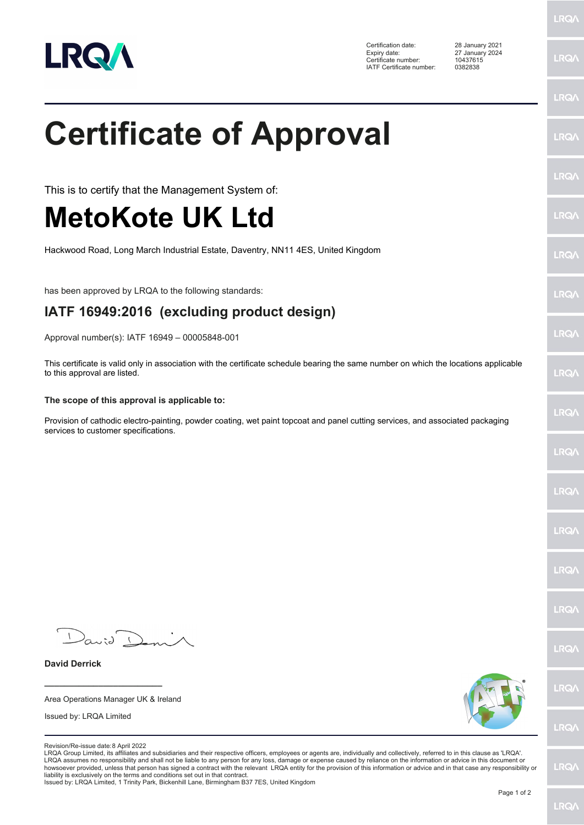

Certification date: 28 January 2021 Expiry date: 27 January 2024 Certificate number: 10437615 IATF Certificate number: 0382838

**LRQ/\** 

|                                                                                                                                                                                                                                                                                                                                                                                                                                                                                                                                                                                                                                                                             | <b>LRQA</b> |
|-----------------------------------------------------------------------------------------------------------------------------------------------------------------------------------------------------------------------------------------------------------------------------------------------------------------------------------------------------------------------------------------------------------------------------------------------------------------------------------------------------------------------------------------------------------------------------------------------------------------------------------------------------------------------------|-------------|
| <b>Certificate of Approval</b>                                                                                                                                                                                                                                                                                                                                                                                                                                                                                                                                                                                                                                              | LRQ/        |
| This is to certify that the Management System of:                                                                                                                                                                                                                                                                                                                                                                                                                                                                                                                                                                                                                           | <b>LRQ/</b> |
| <b>MetoKote UK Ltd</b>                                                                                                                                                                                                                                                                                                                                                                                                                                                                                                                                                                                                                                                      | LRQ/        |
| Hackwood Road, Long March Industrial Estate, Daventry, NN11 4ES, United Kingdom                                                                                                                                                                                                                                                                                                                                                                                                                                                                                                                                                                                             | LRQ/        |
| has been approved by LRQA to the following standards:                                                                                                                                                                                                                                                                                                                                                                                                                                                                                                                                                                                                                       | <b>LRQ/</b> |
| IATF 16949:2016 (excluding product design)                                                                                                                                                                                                                                                                                                                                                                                                                                                                                                                                                                                                                                  |             |
| Approval number(s): IATF 16949 - 00005848-001                                                                                                                                                                                                                                                                                                                                                                                                                                                                                                                                                                                                                               | <b>LRQ/</b> |
| This certificate is valid only in association with the certificate schedule bearing the same number on which the locations applicable<br>to this approval are listed.                                                                                                                                                                                                                                                                                                                                                                                                                                                                                                       | <b>LRQ/</b> |
| The scope of this approval is applicable to:                                                                                                                                                                                                                                                                                                                                                                                                                                                                                                                                                                                                                                |             |
| Provision of cathodic electro-painting, powder coating, wet paint topcoat and panel cutting services, and associated packaging<br>services to customer specifications.                                                                                                                                                                                                                                                                                                                                                                                                                                                                                                      | <b>LRQ/</b> |
|                                                                                                                                                                                                                                                                                                                                                                                                                                                                                                                                                                                                                                                                             | LRQ/        |
|                                                                                                                                                                                                                                                                                                                                                                                                                                                                                                                                                                                                                                                                             | LRQ/        |
|                                                                                                                                                                                                                                                                                                                                                                                                                                                                                                                                                                                                                                                                             | LRQ/        |
|                                                                                                                                                                                                                                                                                                                                                                                                                                                                                                                                                                                                                                                                             | <b>LRQ/</b> |
|                                                                                                                                                                                                                                                                                                                                                                                                                                                                                                                                                                                                                                                                             | LRQ/        |
| David Den                                                                                                                                                                                                                                                                                                                                                                                                                                                                                                                                                                                                                                                                   | LRQ/        |
| <b>David Derrick</b>                                                                                                                                                                                                                                                                                                                                                                                                                                                                                                                                                                                                                                                        |             |
| Area Operations Manager UK & Ireland                                                                                                                                                                                                                                                                                                                                                                                                                                                                                                                                                                                                                                        | <b>LRQA</b> |
| Issued by: LRQA Limited                                                                                                                                                                                                                                                                                                                                                                                                                                                                                                                                                                                                                                                     | LRQ/        |
| Revision/Re-issue date: 8 April 2022<br>LRQA Group Limited, its affiliates and subsidiaries and their respective officers, employees or agents are, individually and collectively, referred to in this clause as 'LRQA'.<br>LRQA assumes no responsibility and shall not be liable to any person for any loss, damage or expense caused by reliance on the information or advice in this document or<br>howsoever provided, unless that person has signed a contract with the relevant LRQA entity for the provision of this information or advice and in that case any responsibility or<br>liability is exclusively on the terms and conditions set out in that contract. | LRQ/        |

liability is exclusively on the terms and conditions set out in that contract. Issued by: LRQA Limited, 1 Trinity Park, Bickenhill Lane, Birmingham B37 7ES, United Kingdom